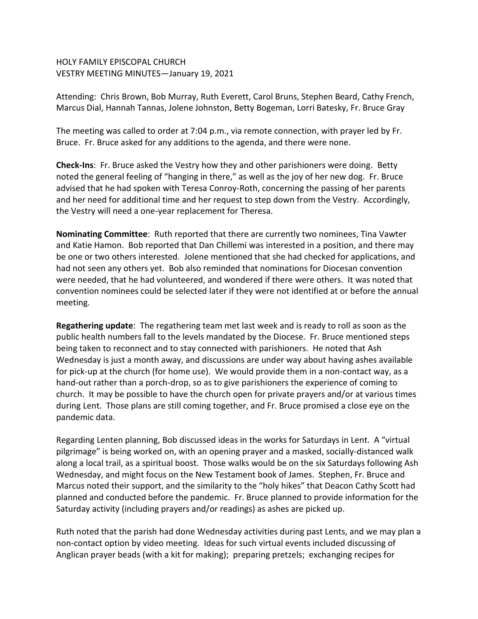## HOLY FAMILY EPISCOPAL CHURCH VESTRY MEETING MINUTES—January 19, 2021

Attending: Chris Brown, Bob Murray, Ruth Everett, Carol Bruns, Stephen Beard, Cathy French, Marcus Dial, Hannah Tannas, Jolene Johnston, Betty Bogeman, Lorri Batesky, Fr. Bruce Gray

The meeting was called to order at 7:04 p.m., via remote connection, with prayer led by Fr. Bruce. Fr. Bruce asked for any additions to the agenda, and there were none.

**Check-Ins**: Fr. Bruce asked the Vestry how they and other parishioners were doing. Betty noted the general feeling of "hanging in there," as well as the joy of her new dog. Fr. Bruce advised that he had spoken with Teresa Conroy-Roth, concerning the passing of her parents and her need for additional time and her request to step down from the Vestry. Accordingly, the Vestry will need a one-year replacement for Theresa.

**Nominating Committee**: Ruth reported that there are currently two nominees, Tina Vawter and Katie Hamon. Bob reported that Dan Chillemi was interested in a position, and there may be one or two others interested. Jolene mentioned that she had checked for applications, and had not seen any others yet. Bob also reminded that nominations for Diocesan convention were needed, that he had volunteered, and wondered if there were others. It was noted that convention nominees could be selected later if they were not identified at or before the annual meeting.

**Regathering update**: The regathering team met last week and is ready to roll as soon as the public health numbers fall to the levels mandated by the Diocese. Fr. Bruce mentioned steps being taken to reconnect and to stay connected with parishioners. He noted that Ash Wednesday is just a month away, and discussions are under way about having ashes available for pick-up at the church (for home use). We would provide them in a non-contact way, as a hand-out rather than a porch-drop, so as to give parishioners the experience of coming to church. It may be possible to have the church open for private prayers and/or at various times during Lent. Those plans are still coming together, and Fr. Bruce promised a close eye on the pandemic data.

Regarding Lenten planning, Bob discussed ideas in the works for Saturdays in Lent. A "virtual pilgrimage" is being worked on, with an opening prayer and a masked, socially-distanced walk along a local trail, as a spiritual boost. Those walks would be on the six Saturdays following Ash Wednesday, and might focus on the New Testament book of James. Stephen, Fr. Bruce and Marcus noted their support, and the similarity to the "holy hikes" that Deacon Cathy Scott had planned and conducted before the pandemic. Fr. Bruce planned to provide information for the Saturday activity (including prayers and/or readings) as ashes are picked up.

Ruth noted that the parish had done Wednesday activities during past Lents, and we may plan a non-contact option by video meeting. Ideas for such virtual events included discussing of Anglican prayer beads (with a kit for making); preparing pretzels; exchanging recipes for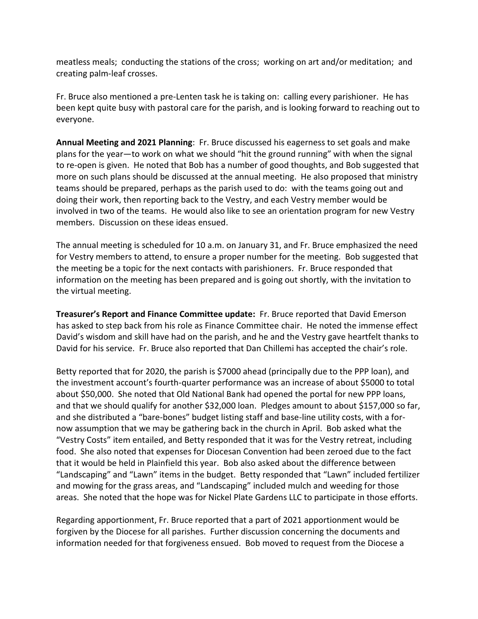meatless meals; conducting the stations of the cross; working on art and/or meditation; and creating palm-leaf crosses.

Fr. Bruce also mentioned a pre-Lenten task he is taking on: calling every parishioner. He has been kept quite busy with pastoral care for the parish, and is looking forward to reaching out to everyone.

**Annual Meeting and 2021 Planning**: Fr. Bruce discussed his eagerness to set goals and make plans for the year—to work on what we should "hit the ground running" with when the signal to re-open is given. He noted that Bob has a number of good thoughts, and Bob suggested that more on such plans should be discussed at the annual meeting. He also proposed that ministry teams should be prepared, perhaps as the parish used to do: with the teams going out and doing their work, then reporting back to the Vestry, and each Vestry member would be involved in two of the teams. He would also like to see an orientation program for new Vestry members. Discussion on these ideas ensued.

The annual meeting is scheduled for 10 a.m. on January 31, and Fr. Bruce emphasized the need for Vestry members to attend, to ensure a proper number for the meeting. Bob suggested that the meeting be a topic for the next contacts with parishioners. Fr. Bruce responded that information on the meeting has been prepared and is going out shortly, with the invitation to the virtual meeting.

**Treasurer's Report and Finance Committee update:** Fr. Bruce reported that David Emerson has asked to step back from his role as Finance Committee chair. He noted the immense effect David's wisdom and skill have had on the parish, and he and the Vestry gave heartfelt thanks to David for his service. Fr. Bruce also reported that Dan Chillemi has accepted the chair's role.

Betty reported that for 2020, the parish is \$7000 ahead (principally due to the PPP loan), and the investment account's fourth-quarter performance was an increase of about \$5000 to total about \$50,000. She noted that Old National Bank had opened the portal for new PPP loans, and that we should qualify for another \$32,000 loan. Pledges amount to about \$157,000 so far, and she distributed a "bare-bones" budget listing staff and base-line utility costs, with a fornow assumption that we may be gathering back in the church in April. Bob asked what the "Vestry Costs" item entailed, and Betty responded that it was for the Vestry retreat, including food. She also noted that expenses for Diocesan Convention had been zeroed due to the fact that it would be held in Plainfield this year. Bob also asked about the difference between "Landscaping" and "Lawn" items in the budget. Betty responded that "Lawn" included fertilizer and mowing for the grass areas, and "Landscaping" included mulch and weeding for those areas. She noted that the hope was for Nickel Plate Gardens LLC to participate in those efforts.

Regarding apportionment, Fr. Bruce reported that a part of 2021 apportionment would be forgiven by the Diocese for all parishes. Further discussion concerning the documents and information needed for that forgiveness ensued. Bob moved to request from the Diocese a